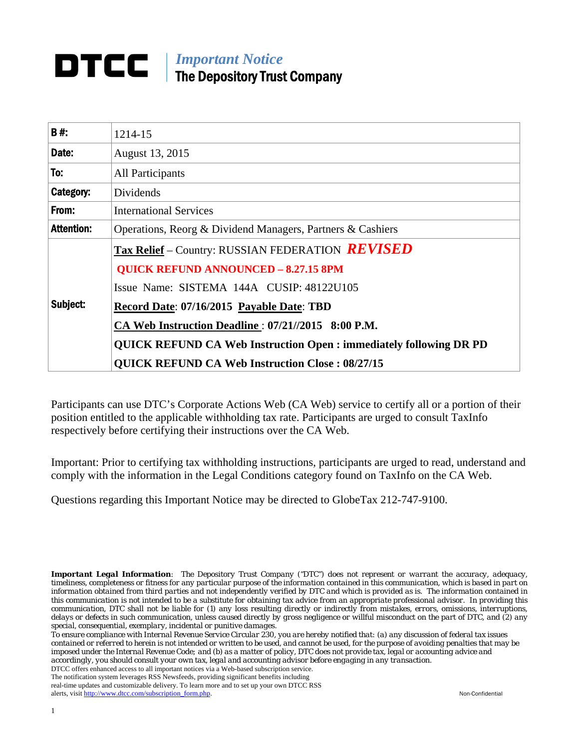# **DTCC** | *Important Notice* The Depository Trust Company

| B#:               | 1214-15                                                                  |  |  |  |  |
|-------------------|--------------------------------------------------------------------------|--|--|--|--|
| Date:             | August 13, 2015                                                          |  |  |  |  |
| To:               | <b>All Participants</b>                                                  |  |  |  |  |
| Category:         | Dividends                                                                |  |  |  |  |
| From:             | <b>International Services</b>                                            |  |  |  |  |
| <b>Attention:</b> | Operations, Reorg & Dividend Managers, Partners & Cashiers               |  |  |  |  |
|                   | <b>Tax Relief</b> – Country: RUSSIAN FEDERATION <b>REVISED</b>           |  |  |  |  |
|                   | <b>QUICK REFUND ANNOUNCED - 8.27.15 8PM</b>                              |  |  |  |  |
|                   | Issue Name: SISTEMA 144A CUSIP: 48122U105                                |  |  |  |  |
| Subject:          | Record Date: 07/16/2015 Payable Date: TBD                                |  |  |  |  |
|                   | CA Web Instruction Deadline : 07/21//2015 8:00 P.M.                      |  |  |  |  |
|                   | <b>QUICK REFUND CA Web Instruction Open: immediately following DR PD</b> |  |  |  |  |
|                   | <b>QUICK REFUND CA Web Instruction Close: 08/27/15</b>                   |  |  |  |  |

Participants can use DTC's Corporate Actions Web (CA Web) service to certify all or a portion of their position entitled to the applicable withholding tax rate. Participants are urged to consult TaxInfo respectively before certifying their instructions over the CA Web.

Important: Prior to certifying tax withholding instructions, participants are urged to read, understand and comply with the information in the Legal Conditions category found on TaxInfo on the CA Web.

Questions regarding this Important Notice may be directed to GlobeTax 212-747-9100.

*Important Legal Information: The Depository Trust Company ("DTC") does not represent or warrant the accuracy, adequacy, timeliness, completeness or fitness for any particular purpose of the information contained in this communication, which is based in part on information obtained from third parties and not independently verified by DTC and which is provided as is. The information contained in this communication is not intended to be a substitute for obtaining tax advice from an appropriate professional advisor. In providing this communication, DTC shall not be liable for (1) any loss resulting directly or indirectly from mistakes, errors, omissions, interruptions, delays or defects in such communication, unless caused directly by gross negligence or willful misconduct on the part of DTC, and (2) any special, consequential, exemplary, incidental or punitive damages.* 

*To ensure compliance with Internal Revenue Service Circular 230, you are hereby notified that: (a) any discussion of federal tax issues contained or referred to herein is not intended or written to be used, and cannot be used, for the purpose of avoiding penalties that may be imposed under the Internal Revenue Code; and (b) as a matter of policy, DTC does not provide tax, legal or accounting advice and accordingly, you should consult your own tax, legal and accounting advisor before engaging in any transaction.*

DTCC offers enhanced access to all important notices via a Web-based subscription service. The notification system leverages RSS Newsfeeds, providing significant benefits including

real-time updates and customizable delivery. To learn more and to set up your own DTCC RSS alerts, visit http://www.dtcc.com/subscription\_form.php. Non-Confidential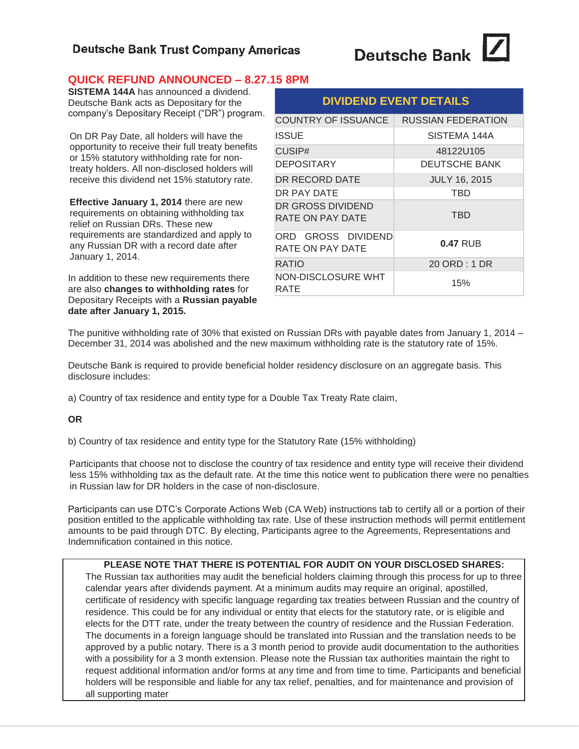## **Deutsche Bank Trust Company Americas**

# **Deutsche Bank**

## **QUICK REFUND ANNOUNCED – 8.27.15 8PM**

**SISTEMA 144A** has announced a dividend. Deutsche Bank acts as Depositary for the company's Depositary Receipt ("DR") program.

On DR Pay Date, all holders will have the opportunity to receive their full treaty benefits or 15% statutory withholding rate for nontreaty holders. All non-disclosed holders will receive this dividend net 15% statutory rate.

**Effective January 1, 2014** there are new requirements on obtaining withholding tax relief on Russian DRs. These new requirements are standardized and apply to any Russian DR with a record date after January 1, 2014.

In addition to these new requirements there are also **changes to withholding rates** for Depositary Receipts with a **Russian payable date after January 1, 2015.** 

| <b>DIVIDEND EVENT DETAILS</b>          |                      |  |  |  |
|----------------------------------------|----------------------|--|--|--|
| COUNTRY OF ISSUANCE                    | RUSSIAN FEDERATION   |  |  |  |
| <b>ISSUE</b>                           | SISTEMA 144A         |  |  |  |
| CUSIP#                                 | 48122U105            |  |  |  |
| <b>DEPOSITARY</b>                      | <b>DEUTSCHE BANK</b> |  |  |  |
| DR RECORD DATE                         | <b>JULY 16, 2015</b> |  |  |  |
| DR PAY DATE                            | TBD                  |  |  |  |
| DR GROSS DIVIDEND<br>RATE ON PAY DATE  | <b>TBD</b>           |  |  |  |
| ORD GROSS DIVIDEND<br>RATE ON PAY DATE | $0.47$ RUB           |  |  |  |
| RATIO                                  | 20 ORD : 1 DR        |  |  |  |
| NON-DISCLOSURE WHT<br>RATE             | 15%                  |  |  |  |

The punitive withholding rate of 30% that existed on Russian DRs with payable dates from January 1, 2014 – December 31, 2014 was abolished and the new maximum withholding rate is the statutory rate of 15%.

Deutsche Bank is required to provide beneficial holder residency disclosure on an aggregate basis. This disclosure includes:

a) Country of tax residence and entity type for a Double Tax Treaty Rate claim,

**OR** 

b) Country of tax residence and entity type for the Statutory Rate (15% withholding)

Participants that choose not to disclose the country of tax residence and entity type will receive their dividend less 15% withholding tax as the default rate. At the time this notice went to publication there were no penalties in Russian law for DR holders in the case of non-disclosure.

Participants can use DTC's Corporate Actions Web (CA Web) instructions tab to certify all or a portion of their position entitled to the applicable withholding tax rate. Use of these instruction methods will permit entitlement amounts to be paid through DTC. By electing, Participants agree to the Agreements, Representations and Indemnification contained in this notice.

### **PLEASE NOTE THAT THERE IS POTENTIAL FOR AUDIT ON YOUR DISCLOSED SHARES:**

The Russian tax authorities may audit the beneficial holders claiming through this process for up to three calendar years after dividends payment. At a minimum audits may require an original, apostilled, certificate of residency with specific language regarding tax treaties between Russian and the country of residence. This could be for any individual or entity that elects for the statutory rate, or is eligible and elects for the DTT rate, under the treaty between the country of residence and the Russian Federation. The documents in a foreign language should be translated into Russian and the translation needs to be approved by a public notary. There is a 3 month period to provide audit documentation to the authorities with a possibility for a 3 month extension. Please note the Russian tax authorities maintain the right to request additional information and/or forms at any time and from time to time. Participants and beneficial holders will be responsible and liable for any tax relief, penalties, and for maintenance and provision of all supporting mater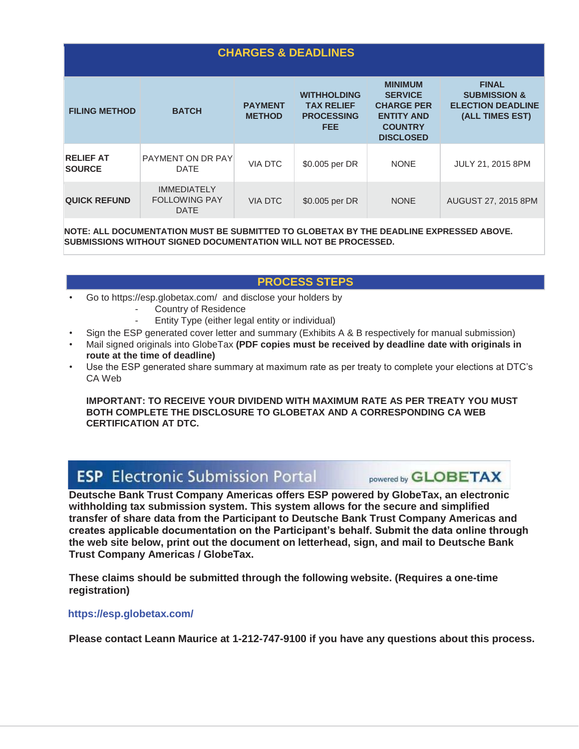| <b>CHARGES &amp; DEADLINES</b>                                                         |                                                           |                                 |                                                                            |                                                                                                                  |                                                                                        |  |
|----------------------------------------------------------------------------------------|-----------------------------------------------------------|---------------------------------|----------------------------------------------------------------------------|------------------------------------------------------------------------------------------------------------------|----------------------------------------------------------------------------------------|--|
| <b>FILING METHOD</b>                                                                   | <b>BATCH</b>                                              | <b>PAYMENT</b><br><b>METHOD</b> | <b>WITHHOLDING</b><br><b>TAX RELIEF</b><br><b>PROCESSING</b><br><b>FEE</b> | <b>MINIMUM</b><br><b>SERVICE</b><br><b>CHARGE PER</b><br><b>ENTITY AND</b><br><b>COUNTRY</b><br><b>DISCLOSED</b> | <b>FINAL</b><br><b>SUBMISSION &amp;</b><br><b>ELECTION DEADLINE</b><br>(ALL TIMES EST) |  |
| <b>RELIEF AT</b><br><b>SOURCE</b>                                                      | PAYMENT ON DR PAY<br><b>DATE</b>                          | <b>VIA DTC</b>                  | \$0.005 per DR                                                             | <b>NONE</b>                                                                                                      | JULY 21, 2015 8PM                                                                      |  |
| <b>QUICK REFUND</b>                                                                    | <b>IMMEDIATELY</b><br><b>FOLLOWING PAY</b><br><b>DATE</b> | <b>VIA DTC</b>                  | \$0.005 per DR                                                             | <b>NONE</b>                                                                                                      | AUGUST 27, 2015 8PM                                                                    |  |
| NOTE: ALL DOCUMENTATION MUST BE SUBMITTED TO GLOBETAX BY THE DEADLINE EXPRESSED ABOVE. |                                                           |                                 |                                                                            |                                                                                                                  |                                                                                        |  |

**SUBMISSIONS WITHOUT SIGNED DOCUMENTATION WILL NOT BE PROCESSED.** 

## **PROCESS STEPS**

- Go to https://esp.globetax.com/ and disclose your holders by
	- Country of Residence
	- Entity Type (either legal entity or individual)
- Sign the ESP generated cover letter and summary (Exhibits A & B respectively for manual submission)
- Mail signed originals into GlobeTax **(PDF copies must be received by deadline date with originals in route at the time of deadline)**
- Use the ESP generated share summary at maximum rate as per treaty to complete your elections at DTC's CA Web

**IMPORTANT: TO RECEIVE YOUR DIVIDEND WITH MAXIMUM RATE AS PER TREATY YOU MUST BOTH COMPLETE THE DISCLOSURE TO GLOBETAX AND A CORRESPONDING CA WEB CERTIFICATION AT DTC.**

# **ESP** Electronic Submission Portal

**Deutsche Bank Trust Company Americas offers ESP powered by GlobeTax, an electronic withholding tax submission system. This system allows for the secure and simplified transfer of share data from the Participant to Deutsche Bank Trust Company Americas and creates applicable documentation on the Participant's behalf. Submit the data online through the web site below, print out the document on letterhead, sign, and mail to Deutsche Bank Trust Company Americas / GlobeTax.** 

**These claims should be submitted through the following website. (Requires a one-time registration)** 

## **https://esp.globetax.com/**

**Please contact Leann Maurice at 1-212-747-9100 if you have any questions about this process.**

powered by **GLOBETAX**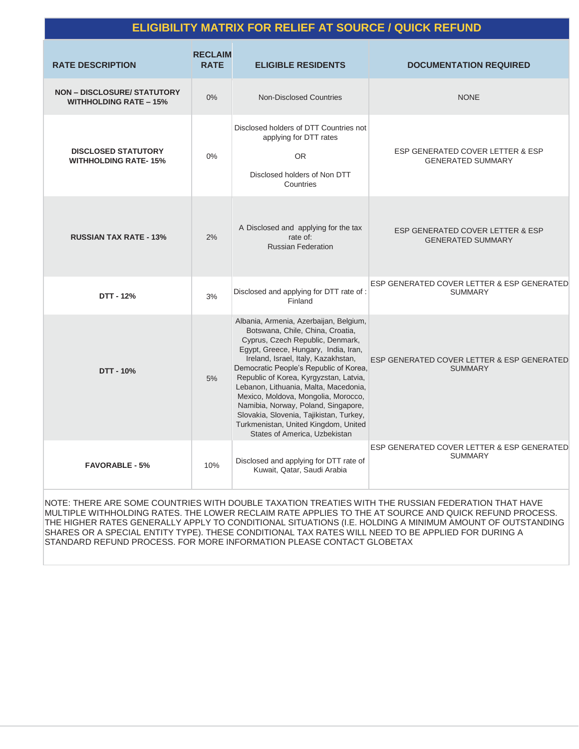## **ELIGIBILITY MATRIX FOR RELIEF AT SOURCE / QUICK REFUND**

| <b>RATE DESCRIPTION</b>                                             | <b>RECLAIM</b><br><b>RATE</b> | <b>ELIGIBLE RESIDENTS</b>                                                                                                                                                                                                                                                                                                                                                                                                                                                                                                    | <b>DOCUMENTATION REQUIRED</b>                                |
|---------------------------------------------------------------------|-------------------------------|------------------------------------------------------------------------------------------------------------------------------------------------------------------------------------------------------------------------------------------------------------------------------------------------------------------------------------------------------------------------------------------------------------------------------------------------------------------------------------------------------------------------------|--------------------------------------------------------------|
| <b>NON - DISCLOSURE/ STATUTORY</b><br><b>WITHHOLDING RATE - 15%</b> | 0%                            | Non-Disclosed Countries                                                                                                                                                                                                                                                                                                                                                                                                                                                                                                      | <b>NONE</b>                                                  |
| <b>DISCLOSED STATUTORY</b><br><b>WITHHOLDING RATE-15%</b>           | $0\%$                         | Disclosed holders of DTT Countries not<br>applying for DTT rates<br><b>OR</b><br>Disclosed holders of Non DTT<br>Countries                                                                                                                                                                                                                                                                                                                                                                                                   | ESP GENERATED COVER LETTER & ESP<br><b>GENERATED SUMMARY</b> |
| <b>RUSSIAN TAX RATE - 13%</b>                                       | 2%                            | A Disclosed and applying for the tax<br>rate of:<br><b>Russian Federation</b>                                                                                                                                                                                                                                                                                                                                                                                                                                                | ESP GENERATED COVER LETTER & ESP<br><b>GENERATED SUMMARY</b> |
| DTT - 12%                                                           | 3%                            | Disclosed and applying for DTT rate of :<br>Finland                                                                                                                                                                                                                                                                                                                                                                                                                                                                          | ESP GENERATED COVER LETTER & ESP GENERATED<br><b>SUMMARY</b> |
| DTT - 10%                                                           | 5%                            | Albania, Armenia, Azerbaijan, Belgium,<br>Botswana, Chile, China, Croatia,<br>Cyprus, Czech Republic, Denmark,<br>Egypt, Greece, Hungary, India, Iran,<br>Ireland, Israel, Italy, Kazakhstan,<br>Democratic People's Republic of Korea,<br>Republic of Korea, Kyrgyzstan, Latvia,<br>Lebanon, Lithuania, Malta, Macedonia,<br>Mexico, Moldova, Mongolia, Morocco,<br>Namibia, Norway, Poland, Singapore,<br>Slovakia, Slovenia, Tajikistan, Turkey,<br>Turkmenistan, United Kingdom, United<br>States of America, Uzbekistan | ESP GENERATED COVER LETTER & ESP GENERATED<br><b>SUMMARY</b> |
| <b>FAVORABLE - 5%</b>                                               | 10%                           | Disclosed and applying for DTT rate of<br>Kuwait, Qatar, Saudi Arabia                                                                                                                                                                                                                                                                                                                                                                                                                                                        | ESP GENERATED COVER LETTER & ESP GENERATED<br><b>SUMMARY</b> |

NOTE: THERE ARE SOME COUNTRIES WITH DOUBLE TAXATION TREATIES WITH THE RUSSIAN FEDERATION THAT HAVE MULTIPLE WITHHOLDING RATES. THE LOWER RECLAIM RATE APPLIES TO THE AT SOURCE AND QUICK REFUND PROCESS. THE HIGHER RATES GENERALLY APPLY TO CONDITIONAL SITUATIONS (I.E. HOLDING A MINIMUM AMOUNT OF OUTSTANDING SHARES OR A SPECIAL ENTITY TYPE). THESE CONDITIONAL TAX RATES WILL NEED TO BE APPLIED FOR DURING A STANDARD REFUND PROCESS. FOR MORE INFORMATION PLEASE CONTACT GLOBETAX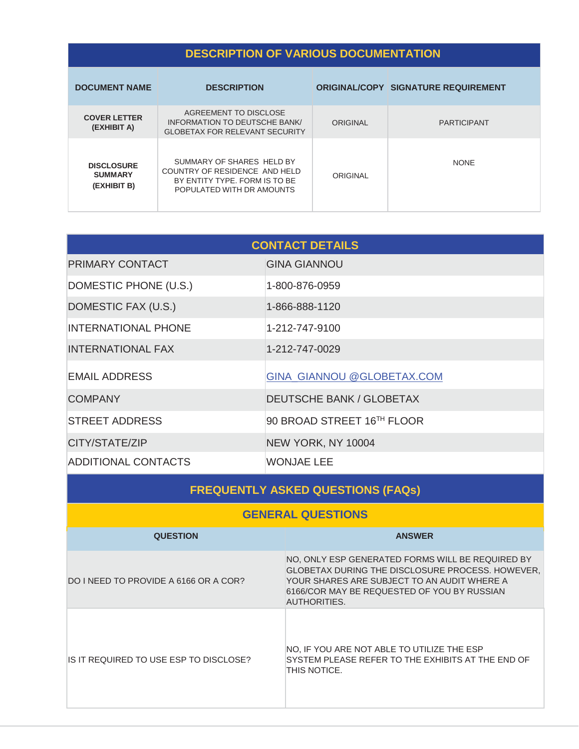# **DESCRIPTION OF VARIOUS DOCUMENTATION**

| <b>DOCUMENT NAME</b>                               | <b>DESCRIPTION</b>                                                                                                       |          | <b>ORIGINAL/COPY SIGNATURE REQUIREMENT</b> |
|----------------------------------------------------|--------------------------------------------------------------------------------------------------------------------------|----------|--------------------------------------------|
| <b>COVER LETTER</b><br>(EXHIBIT A)                 | AGREEMENT TO DISCLOSE<br>INFORMATION TO DEUTSCHE BANK/<br><b>GLOBETAX FOR RELEVANT SECURITY</b>                          | ORIGINAL | <b>PARTICIPANT</b>                         |
| <b>DISCLOSURE</b><br><b>SUMMARY</b><br>(EXHIBIT B) | SUMMARY OF SHARES HELD BY<br>COUNTRY OF RESIDENCE AND HELD<br>BY ENTITY TYPE. FORM IS TO BE<br>POPULATED WITH DR AMOUNTS | ORIGINAL | <b>NONE</b>                                |

| <b>CONTACT DETAILS</b>     |                                   |  |  |  |
|----------------------------|-----------------------------------|--|--|--|
| PRIMARY CONTACT            | <b>GINA GIANNOU</b>               |  |  |  |
| DOMESTIC PHONE (U.S.)      | 1-800-876-0959                    |  |  |  |
| DOMESTIC FAX (U.S.)        | 1-866-888-1120                    |  |  |  |
| <b>INTERNATIONAL PHONE</b> | 1-212-747-9100                    |  |  |  |
| <b>INTERNATIONAL FAX</b>   | 1-212-747-0029                    |  |  |  |
| <b>EMAIL ADDRESS</b>       | <b>GINA GIANNOU @GLOBETAX.COM</b> |  |  |  |
| <b>COMPANY</b>             | <b>DEUTSCHE BANK / GLOBETAX</b>   |  |  |  |
| <b>STREET ADDRESS</b>      | 90 BROAD STREET 16TH FLOOR        |  |  |  |
| CITY/STATE/ZIP             | NEW YORK, NY 10004                |  |  |  |
| <b>ADDITIONAL CONTACTS</b> | WONJAE LEE                        |  |  |  |

| <b>FREQUENTLY ASKED QUESTIONS (FAQs)</b> |                                                                                                                                                                                                                                  |  |  |  |
|------------------------------------------|----------------------------------------------------------------------------------------------------------------------------------------------------------------------------------------------------------------------------------|--|--|--|
| <b>GENERAL QUESTIONS</b>                 |                                                                                                                                                                                                                                  |  |  |  |
| <b>QUESTION</b>                          | <b>ANSWER</b>                                                                                                                                                                                                                    |  |  |  |
| DO I NEED TO PROVIDE A 6166 OR A COR?    | NO, ONLY ESP GENERATED FORMS WILL BE REQUIRED BY<br><b>GLOBETAX DURING THE DISCLOSURE PROCESS. HOWEVER,</b><br>YOUR SHARES ARE SUBJECT TO AN AUDIT WHERE A<br>6166/COR MAY BE REQUESTED OF YOU BY RUSSIAN<br><b>AUTHORITIES.</b> |  |  |  |
| IS IT REQUIRED TO USE ESP TO DISCLOSE?   | NO, IF YOU ARE NOT ABLE TO UTILIZE THE ESP<br>SYSTEM PLEASE REFER TO THE EXHIBITS AT THE END OF<br>THIS NOTICE.                                                                                                                  |  |  |  |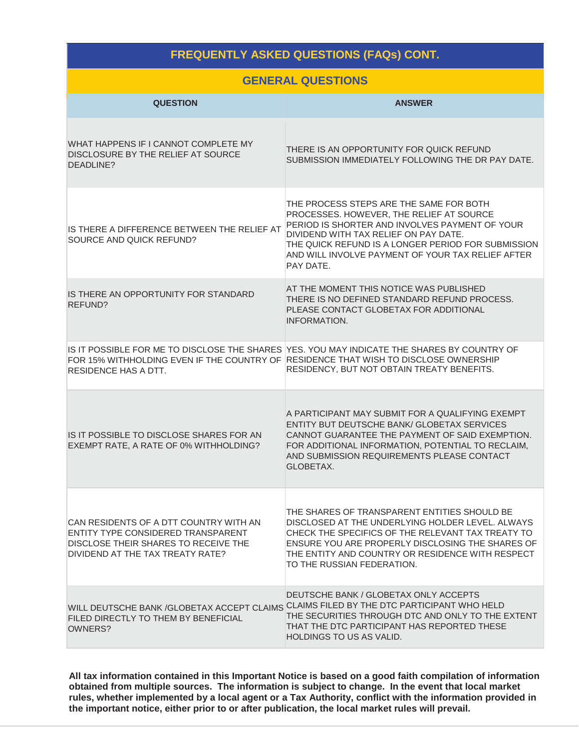## **FREQUENTLY ASKED QUESTIONS (FAQs) CONT.**

|  |  | <b>GENERAL QUESTIONS</b> |
|--|--|--------------------------|
|  |  |                          |

| <b>QUESTION</b>                                                                                                                                          | <b>ANSWER</b>                                                                                                                                                                                                                                                                                          |
|----------------------------------------------------------------------------------------------------------------------------------------------------------|--------------------------------------------------------------------------------------------------------------------------------------------------------------------------------------------------------------------------------------------------------------------------------------------------------|
| WHAT HAPPENS IF I CANNOT COMPLETE MY<br>DISCLOSURE BY THE RELIEF AT SOURCE<br>DEADLINE?                                                                  | THERE IS AN OPPORTUNITY FOR QUICK REFUND<br>SUBMISSION IMMEDIATELY FOLLOWING THE DR PAY DATE.                                                                                                                                                                                                          |
| IS THERE A DIFFERENCE BETWEEN THE RELIEF AT<br>SOURCE AND QUICK REFUND?                                                                                  | THE PROCESS STEPS ARE THE SAME FOR BOTH<br>PROCESSES. HOWEVER, THE RELIEF AT SOURCE<br>PERIOD IS SHORTER AND INVOLVES PAYMENT OF YOUR<br>DIVIDEND WITH TAX RELIEF ON PAY DATE.<br>THE QUICK REFUND IS A LONGER PERIOD FOR SUBMISSION<br>AND WILL INVOLVE PAYMENT OF YOUR TAX RELIEF AFTER<br>PAY DATE. |
| IS THERE AN OPPORTUNITY FOR STANDARD<br>REFUND?                                                                                                          | AT THE MOMENT THIS NOTICE WAS PUBLISHED<br>THERE IS NO DEFINED STANDARD REFUND PROCESS.<br>PLEASE CONTACT GLOBETAX FOR ADDITIONAL<br><b>INFORMATION.</b>                                                                                                                                               |
| FOR 15% WITHHOLDING EVEN IF THE COUNTRY OF RESIDENCE THAT WISH TO DISCLOSE OWNERSHIP<br><b>RESIDENCE HAS A DTT.</b>                                      | IS IT POSSIBLE FOR ME TO DISCLOSE THE SHARES YES. YOU MAY INDICATE THE SHARES BY COUNTRY OF<br>RESIDENCY, BUT NOT OBTAIN TREATY BENEFITS.                                                                                                                                                              |
| IS IT POSSIBLE TO DISCLOSE SHARES FOR AN<br>EXEMPT RATE, A RATE OF 0% WITHHOLDING?                                                                       | A PARTICIPANT MAY SUBMIT FOR A QUALIFYING EXEMPT<br>ENTITY BUT DEUTSCHE BANK/ GLOBETAX SERVICES<br>CANNOT GUARANTEE THE PAYMENT OF SAID EXEMPTION.<br>FOR ADDITIONAL INFORMATION, POTENTIAL TO RECLAIM,<br>AND SUBMISSION REQUIREMENTS PLEASE CONTACT<br><b>GLOBETAX.</b>                              |
| CAN RESIDENTS OF A DTT COUNTRY WITH AN<br>ENTITY TYPE CONSIDERED TRANSPARENT<br>DISCLOSE THEIR SHARES TO RECEIVE THE<br>DIVIDEND AT THE TAX TREATY RATE? | THE SHARES OF TRANSPARENT ENTITIES SHOULD BE<br>DISCLOSED AT THE UNDERLYING HOLDER LEVEL. ALWAYS<br>CHECK THE SPECIFICS OF THE RELEVANT TAX TREATY TO<br>ENSURE YOU ARE PROPERLY DISCLOSING THE SHARES OF<br>THE ENTITY AND COUNTRY OR RESIDENCE WITH RESPECT<br>TO THE RUSSIAN FEDERATION.            |
| FILED DIRECTLY TO THEM BY BENEFICIAL<br>OWNERS?                                                                                                          | DEUTSCHE BANK / GLOBETAX ONLY ACCEPTS<br>WILL DEUTSCHE BANK /GLOBETAX ACCEPT CLAIMS CLAIMS FILED BY THE DTC PARTICIPANT WHO HELD<br>THE SECURITIES THROUGH DTC AND ONLY TO THE EXTENT<br>THAT THE DTC PARTICIPANT HAS REPORTED THESE<br>HOLDINGS TO US AS VALID.                                       |

**All tax information contained in this Important Notice is based on a good faith compilation of information obtained from multiple sources. The information is subject to change. In the event that local market rules, whether implemented by a local agent or a Tax Authority, conflict with the information provided in the important notice, either prior to or after publication, the local market rules will prevail.**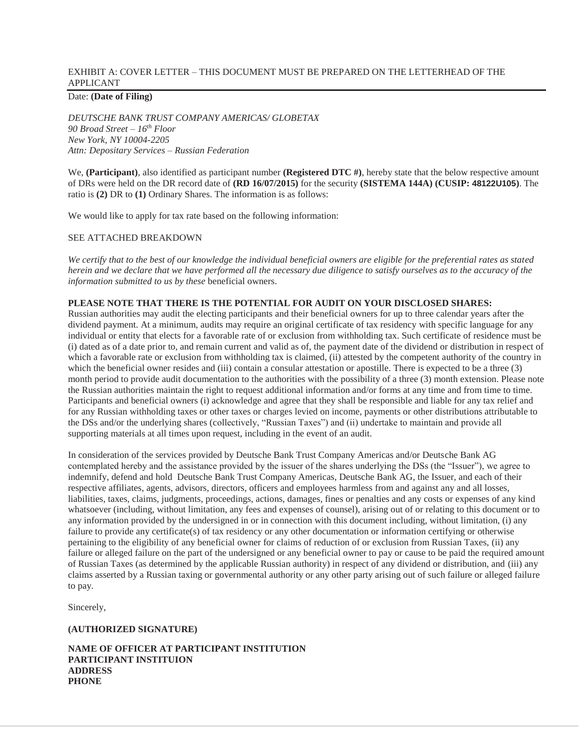#### EXHIBIT A: COVER LETTER – THIS DOCUMENT MUST BE PREPARED ON THE LETTERHEAD OF THE APPLICANT

## Date: **(Date of Filing)**

*DEUTSCHE BANK TRUST COMPANY AMERICAS/ GLOBETAX 90 Broad Street – 16th Floor New York, NY 10004-2205 Attn: Depositary Services – Russian Federation* 

We, **(Participant)**, also identified as participant number **(Registered DTC**#), hereby state that the below respective amount of DRs were held on the DR record date of **(RD 16/07/2015)** for the security **(SISTEMA 144A) (CUSIP: 48122U105)**. The ratio is **(2)** DR to **(1)** Ordinary Shares. The information is as follows:

We would like to apply for tax rate based on the following information:

#### SEE ATTACHED BREAKDOWN

*We certify that to the best of our knowledge the individual beneficial owners are eligible for the preferential rates as stated herein and we declare that we have performed all the necessary due diligence to satisfy ourselves as to the accuracy of the information submitted to us by these* beneficial owners.

#### **PLEASE NOTE THAT THERE IS THE POTENTIAL FOR AUDIT ON YOUR DISCLOSED SHARES:**

Russian authorities may audit the electing participants and their beneficial owners for up to three calendar years after the dividend payment. At a minimum, audits may require an original certificate of tax residency with specific language for any individual or entity that elects for a favorable rate of or exclusion from withholding tax. Such certificate of residence must be (i) dated as of a date prior to, and remain current and valid as of, the payment date of the dividend or distribution in respect of which a favorable rate or exclusion from withholding tax is claimed, (ii) attested by the competent authority of the country in which the beneficial owner resides and (iii) contain a consular attestation or apostille. There is expected to be a three (3) month period to provide audit documentation to the authorities with the possibility of a three (3) month extension. Please note the Russian authorities maintain the right to request additional information and/or forms at any time and from time to time. Participants and beneficial owners (i) acknowledge and agree that they shall be responsible and liable for any tax relief and for any Russian withholding taxes or other taxes or charges levied on income, payments or other distributions attributable to the DSs and/or the underlying shares (collectively, "Russian Taxes") and (ii) undertake to maintain and provide all supporting materials at all times upon request, including in the event of an audit.

In consideration of the services provided by Deutsche Bank Trust Company Americas and/or Deutsche Bank AG contemplated hereby and the assistance provided by the issuer of the shares underlying the DSs (the "Issuer"), we agree to indemnify, defend and hold Deutsche Bank Trust Company Americas, Deutsche Bank AG, the Issuer, and each of their respective affiliates, agents, advisors, directors, officers and employees harmless from and against any and all losses, liabilities, taxes, claims, judgments, proceedings, actions, damages, fines or penalties and any costs or expenses of any kind whatsoever (including, without limitation, any fees and expenses of counsel), arising out of or relating to this document or to any information provided by the undersigned in or in connection with this document including, without limitation, (i) any failure to provide any certificate(s) of tax residency or any other documentation or information certifying or otherwise pertaining to the eligibility of any beneficial owner for claims of reduction of or exclusion from Russian Taxes, (ii) any failure or alleged failure on the part of the undersigned or any beneficial owner to pay or cause to be paid the required amount of Russian Taxes (as determined by the applicable Russian authority) in respect of any dividend or distribution, and (iii) any claims asserted by a Russian taxing or governmental authority or any other party arising out of such failure or alleged failure to pay.

Sincerely,

#### **(AUTHORIZED SIGNATURE)**

**NAME OF OFFICER AT PARTICIPANT INSTITUTION PARTICIPANT INSTITUION ADDRESS PHONE**